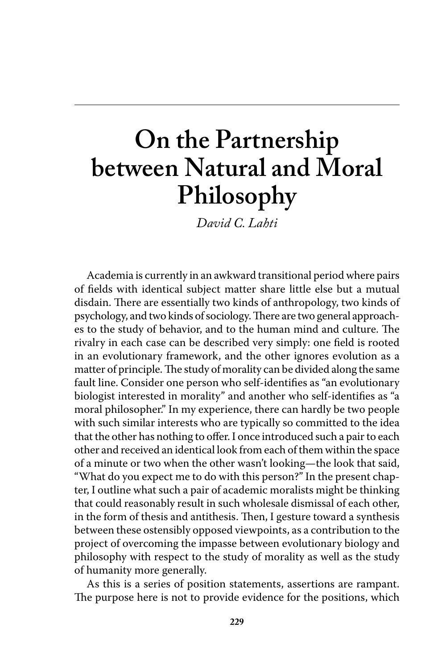### **On the Partnership between Natural and Moral Philosophy**

 *David C. Lahti* 

 Academia is currently in an awkward transitional period where pairs of fields with identical subject matter share little else but a mutual disdain. There are essentially two kinds of anthropology, two kinds of psychology, and two kinds of sociology. There are two general approaches to the study of behavior, and to the human mind and culture. The rivalry in each case can be described very simply: one field is rooted in an evolutionary framework, and the other ignores evolution as a matter of principle. The study of morality can be divided along the same fault line. Consider one person who self-identifies as "an evolutionary biologist interested in morality" and another who self-identifies as "a moral philosopher." In my experience, there can hardly be two people with such similar interests who are typically so committed to the idea that the other has nothing to offer. I once introduced such a pair to each other and received an identical look from each of them within the space of a minute or two when the other wasn't looking—the look that said, "What do you expect me to do with this person?" In the present chapter, I outline what such a pair of academic moralists might be thinking that could reasonably result in such wholesale dismissal of each other, in the form of thesis and antithesis. Then, I gesture toward a synthesis between these ostensibly opposed viewpoints, as a contribution to the project of overcoming the impasse between evolutionary biology and philosophy with respect to the study of morality as well as the study of humanity more generally.

 As this is a series of position statements, assertions are rampant. The purpose here is not to provide evidence for the positions, which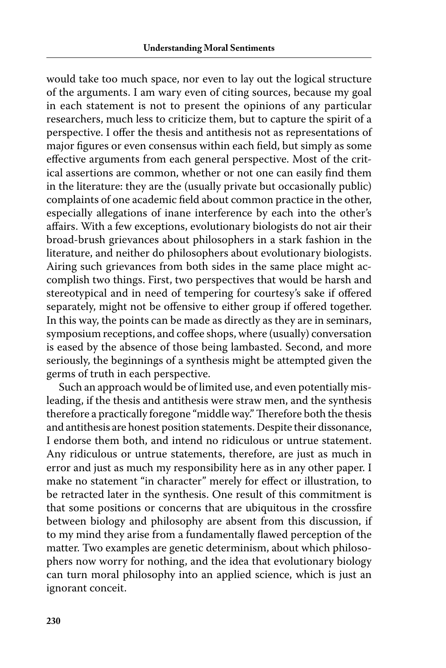would take too much space, nor even to lay out the logical structure of the arguments. I am wary even of citing sources, because my goal in each statement is not to present the opinions of any particular researchers, much less to criticize them, but to capture the spirit of a perspective. I offer the thesis and antithesis not as representations of major figures or even consensus within each field, but simply as some effective arguments from each general perspective. Most of the critical assertions are common, whether or not one can easily find them in the literature: they are the (usually private but occasionally public) complaints of one academic field about common practice in the other, especially allegations of inane interference by each into the other's affairs. With a few exceptions, evolutionary biologists do not air their broad-brush grievances about philosophers in a stark fashion in the literature, and neither do philosophers about evolutionary biologists. Airing such grievances from both sides in the same place might accomplish two things. First, two perspectives that would be harsh and stereotypical and in need of tempering for courtesy's sake if offered separately, might not be offensive to either group if offered together. In this way, the points can be made as directly as they are in seminars, symposium receptions, and coffee shops, where (usually) conversation is eased by the absence of those being lambasted. Second, and more seriously, the beginnings of a synthesis might be attempted given the germs of truth in each perspective.

 Such an approach would be of limited use, and even potentially misleading, if the thesis and antithesis were straw men, and the synthesis therefore a practically foregone "middle way." Therefore both the thesis and antithesis are honest position statements. Despite their dissonance, I endorse them both, and intend no ridiculous or untrue statement. Any ridiculous or untrue statements, therefore, are just as much in error and just as much my responsibility here as in any other paper. I make no statement "in character" merely for effect or illustration, to be retracted later in the synthesis. One result of this commitment is that some positions or concerns that are ubiquitous in the crossfire between biology and philosophy are absent from this discussion, if to my mind they arise from a fundamentally flawed perception of the matter. Two examples are genetic determinism, about which philosophers now worry for nothing, and the idea that evolutionary biology can turn moral philosophy into an applied science, which is just an ignorant conceit.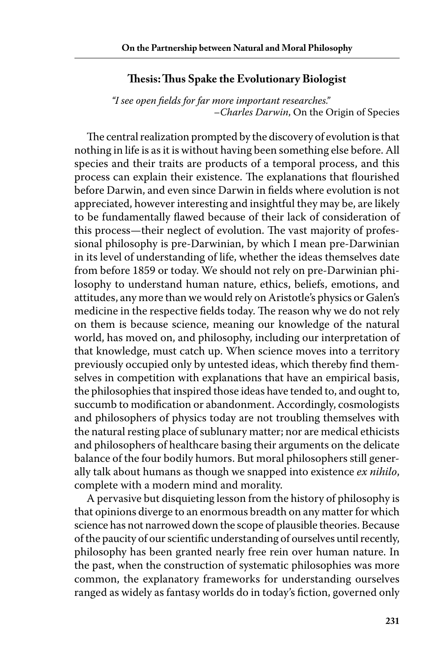#### **Th esis: Th us Spake the Evolutionary Biologist**

*"I see open fi elds for far more important researches." –Charles Darwin* , On the Origin of Species

The central realization prompted by the discovery of evolution is that nothing in life is as it is without having been something else before. All species and their traits are products of a temporal process, and this process can explain their existence. The explanations that flourished before Darwin, and even since Darwin in fields where evolution is not appreciated, however interesting and insightful they may be, are likely to be fundamentally flawed because of their lack of consideration of this process—their neglect of evolution. The vast majority of professional philosophy is pre-Darwinian, by which I mean pre-Darwinian in its level of understanding of life, whether the ideas themselves date from before 1859 or today. We should not rely on pre-Darwinian philosophy to understand human nature, ethics, beliefs, emotions, and attitudes, any more than we would rely on Aristotle's physics or Galen's medicine in the respective fields today. The reason why we do not rely on them is because science, meaning our knowledge of the natural world, has moved on, and philosophy, including our interpretation of that knowledge, must catch up. When science moves into a territory previously occupied only by untested ideas, which thereby find themselves in competition with explanations that have an empirical basis, the philosophies that inspired those ideas have tended to, and ought to, succumb to modification or abandonment. Accordingly, cosmologists and philosophers of physics today are not troubling themselves with the natural resting place of sublunary matter; nor are medical ethicists and philosophers of healthcare basing their arguments on the delicate balance of the four bodily humors. But moral philosophers still generally talk about humans as though we snapped into existence ex nihilo, complete with a modern mind and morality.

 A pervasive but disquieting lesson from the history of philosophy is that opinions diverge to an enormous breadth on any matter for which science has not narrowed down the scope of plausible theories. Because of the paucity of our scientific understanding of ourselves until recently, philosophy has been granted nearly free rein over human nature. In the past, when the construction of systematic philosophies was more common, the explanatory frameworks for understanding ourselves ranged as widely as fantasy worlds do in today's fiction, governed only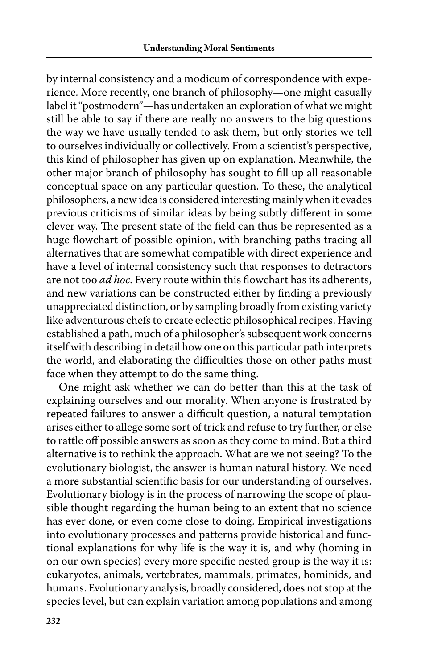by internal consistency and a modicum of correspondence with experience. More recently, one branch of philosophy—one might casually label it "postmodern"—has undertaken an exploration of what we might still be able to say if there are really no answers to the big questions the way we have usually tended to ask them, but only stories we tell to ourselves individually or collectively. From a scientist's perspective, this kind of philosopher has given up on explanation. Meanwhile, the other major branch of philosophy has sought to fill up all reasonable conceptual space on any particular question. To these, the analytical philosophers, a new idea is considered interesting mainly when it evades previous criticisms of similar ideas by being subtly different in some clever way. The present state of the field can thus be represented as a huge flowchart of possible opinion, with branching paths tracing all alternatives that are somewhat compatible with direct experience and have a level of internal consistency such that responses to detractors are not too *ad hoc*. Every route within this flowchart has its adherents, and new variations can be constructed either by finding a previously unappreciated distinction, or by sampling broadly from existing variety like adventurous chefs to create eclectic philosophical recipes. Having established a path, much of a philosopher's subsequent work concerns itself with describing in detail how one on this particular path interprets the world, and elaborating the difficulties those on other paths must face when they attempt to do the same thing.

 One might ask whether we can do better than this at the task of explaining ourselves and our morality. When anyone is frustrated by repeated failures to answer a difficult question, a natural temptation arises either to allege some sort of trick and refuse to try further, or else to rattle off possible answers as soon as they come to mind. But a third alternative is to rethink the approach. What are we not seeing? To the evolutionary biologist, the answer is human natural history. We need a more substantial scientific basis for our understanding of ourselves. Evolutionary biology is in the process of narrowing the scope of plausible thought regarding the human being to an extent that no science has ever done, or even come close to doing. Empirical investigations into evolutionary processes and patterns provide historical and functional explanations for why life is the way it is, and why (homing in on our own species) every more specific nested group is the way it is: eukaryotes, animals, vertebrates, mammals, primates, hominids, and humans. Evolutionary analysis, broadly considered, does not stop at the species level, but can explain variation among populations and among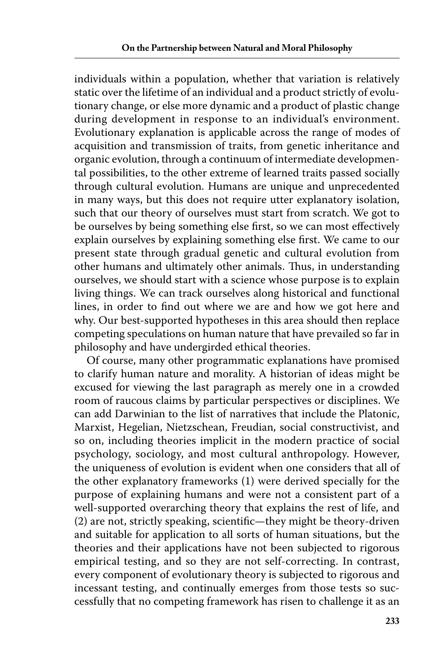individuals within a population, whether that variation is relatively static over the lifetime of an individual and a product strictly of evolutionary change, or else more dynamic and a product of plastic change during development in response to an individual's environment. Evolutionary explanation is applicable across the range of modes of acquisition and transmission of traits, from genetic inheritance and organic evolution, through a continuum of intermediate developmental possibilities, to the other extreme of learned traits passed socially through cultural evolution. Humans are unique and unprecedented in many ways, but this does not require utter explanatory isolation, such that our theory of ourselves must start from scratch. We got to be ourselves by being something else first, so we can most effectively explain ourselves by explaining something else first. We came to our present state through gradual genetic and cultural evolution from other humans and ultimately other animals. Thus, in understanding ourselves, we should start with a science whose purpose is to explain living things. We can track ourselves along historical and functional lines, in order to find out where we are and how we got here and why. Our best-supported hypotheses in this area should then replace competing speculations on human nature that have prevailed so far in philosophy and have undergirded ethical theories.

 Of course, many other programmatic explanations have promised to clarify human nature and morality. A historian of ideas might be excused for viewing the last paragraph as merely one in a crowded room of raucous claims by particular perspectives or disciplines. We can add Darwinian to the list of narratives that include the Platonic, Marxist, Hegelian, Nietzschean, Freudian, social constructivist, and so on, including theories implicit in the modern practice of social psychology, sociology, and most cultural anthropology. However, the uniqueness of evolution is evident when one considers that all of the other explanatory frameworks (1) were derived specially for the purpose of explaining humans and were not a consistent part of a well-supported overarching theory that explains the rest of life, and  $(2)$  are not, strictly speaking, scientific—they might be theory-driven and suitable for application to all sorts of human situations, but the theories and their applications have not been subjected to rigorous empirical testing, and so they are not self-correcting. In contrast, every component of evolutionary theory is subjected to rigorous and incessant testing, and continually emerges from those tests so successfully that no competing framework has risen to challenge it as an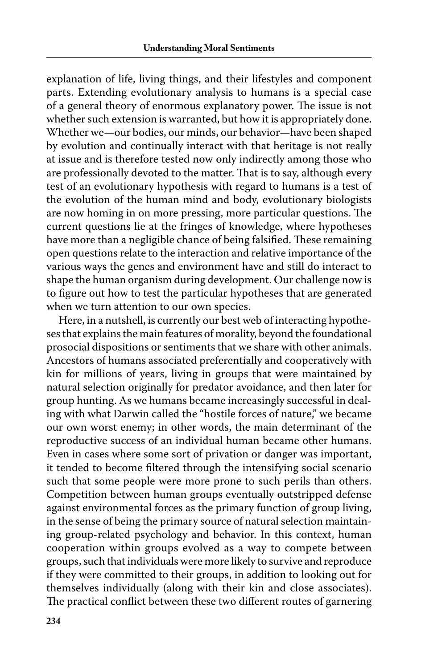explanation of life, living things, and their lifestyles and component parts. Extending evolutionary analysis to humans is a special case of a general theory of enormous explanatory power. The issue is not whether such extension is warranted, but how it is appropriately done. Whether we—our bodies, our minds, our behavior—have been shaped by evolution and continually interact with that heritage is not really at issue and is therefore tested now only indirectly among those who are professionally devoted to the matter. That is to say, although every test of an evolutionary hypothesis with regard to humans is a test of the evolution of the human mind and body, evolutionary biologists are now homing in on more pressing, more particular questions. The current questions lie at the fringes of knowledge, where hypotheses have more than a negligible chance of being falsified. These remaining open questions relate to the interaction and relative importance of the various ways the genes and environment have and still do interact to shape the human organism during development. Our challenge now is to figure out how to test the particular hypotheses that are generated when we turn attention to our own species.

 Here, in a nutshell, is currently our best web of interacting hypotheses that explains the main features of morality, beyond the foundational prosocial dispositions or sentiments that we share with other animals. Ancestors of humans associated preferentially and cooperatively with kin for millions of years, living in groups that were maintained by natural selection originally for predator avoidance, and then later for group hunting. As we humans became increasingly successful in dealing with what Darwin called the "hostile forces of nature," we became our own worst enemy; in other words, the main determinant of the reproductive success of an individual human became other humans. Even in cases where some sort of privation or danger was important, it tended to become filtered through the intensifying social scenario such that some people were more prone to such perils than others. Competition between human groups eventually outstripped defense against environmental forces as the primary function of group living, in the sense of being the primary source of natural selection maintaining group-related psychology and behavior. In this context, human cooperation within groups evolved as a way to compete between groups, such that individuals were more likely to survive and reproduce if they were committed to their groups, in addition to looking out for themselves individually (along with their kin and close associates). The practical conflict between these two different routes of garnering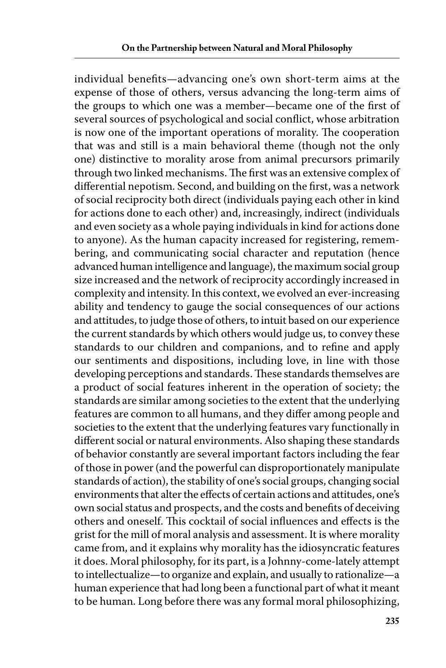individual benefits—advancing one's own short-term aims at the expense of those of others, versus advancing the long-term aims of the groups to which one was a member-became one of the first of several sources of psychological and social conflict, whose arbitration is now one of the important operations of morality. The cooperation that was and still is a main behavioral theme (though not the only one) distinctive to morality arose from animal precursors primarily through two linked mechanisms. The first was an extensive complex of differential nepotism. Second, and building on the first, was a network of social reciprocity both direct (individuals paying each other in kind for actions done to each other) and, increasingly, indirect (individuals and even society as a whole paying individuals in kind for actions done to anyone). As the human capacity increased for registering, remembering, and communicating social character and reputation (hence advanced human intelligence and language), the maximum social group size increased and the network of reciprocity accordingly increased in complexity and intensity. In this context, we evolved an ever-increasing ability and tendency to gauge the social consequences of our actions and attitudes, to judge those of others, to intuit based on our experience the current standards by which others would judge us, to convey these standards to our children and companions, and to refine and apply our sentiments and dispositions, including love, in line with those developing perceptions and standards. These standards themselves are a product of social features inherent in the operation of society; the standards are similar among societies to the extent that the underlying features are common to all humans, and they differ among people and societies to the extent that the underlying features vary functionally in different social or natural environments. Also shaping these standards of behavior constantly are several important factors including the fear of those in power (and the powerful can disproportionately manipulate standards of action), the stability of one's social groups, changing social environments that alter the effects of certain actions and attitudes, one's own social status and prospects, and the costs and benefits of deceiving others and oneself. This cocktail of social influences and effects is the grist for the mill of moral analysis and assessment. It is where morality came from, and it explains why morality has the idiosyncratic features it does. Moral philosophy, for its part, is a Johnny-come-lately attempt to intellectualize—to organize and explain, and usually to rationalize—a human experience that had long been a functional part of what it meant to be human. Long before there was any formal moral philosophizing,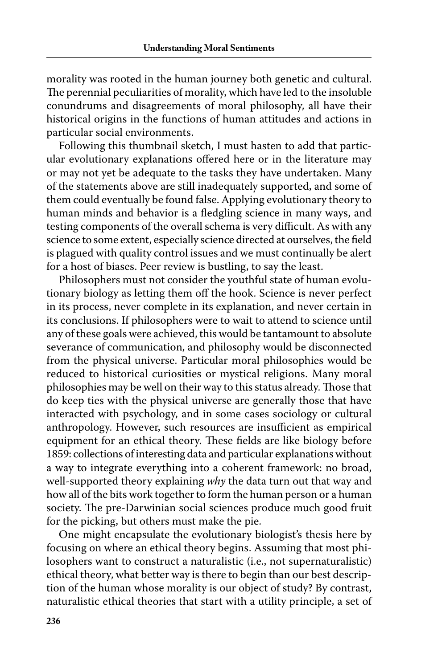morality was rooted in the human journey both genetic and cultural. The perennial peculiarities of morality, which have led to the insoluble conundrums and disagreements of moral philosophy, all have their historical origins in the functions of human attitudes and actions in particular social environments.

 Following this thumbnail sketch, I must hasten to add that particular evolutionary explanations offered here or in the literature may or may not yet be adequate to the tasks they have undertaken. Many of the statements above are still inadequately supported, and some of them could eventually be found false. Applying evolutionary theory to human minds and behavior is a fledgling science in many ways, and testing components of the overall schema is very difficult. As with any science to some extent, especially science directed at ourselves, the field is plagued with quality control issues and we must continually be alert for a host of biases. Peer review is bustling, to say the least.

 Philosophers must not consider the youthful state of human evolutionary biology as letting them off the hook. Science is never perfect in its process, never complete in its explanation, and never certain in its conclusions. If philosophers were to wait to attend to science until any of these goals were achieved, this would be tantamount to absolute severance of communication, and philosophy would be disconnected from the physical universe. Particular moral philosophies would be reduced to historical curiosities or mystical religions. Many moral philosophies may be well on their way to this status already. Those that do keep ties with the physical universe are generally those that have interacted with psychology, and in some cases sociology or cultural anthropology. However, such resources are insufficient as empirical equipment for an ethical theory. These fields are like biology before 1859: collections of interesting data and particular explanations without a way to integrate everything into a coherent framework: no broad, well-supported theory explaining *why* the data turn out that way and how all of the bits work together to form the human person or a human society. The pre-Darwinian social sciences produce much good fruit for the picking, but others must make the pie.

 One might encapsulate the evolutionary biologist's thesis here by focusing on where an ethical theory begins. Assuming that most philosophers want to construct a naturalistic (i.e., not supernaturalistic) ethical theory, what better way is there to begin than our best description of the human whose morality is our object of study? By contrast, naturalistic ethical theories that start with a utility principle, a set of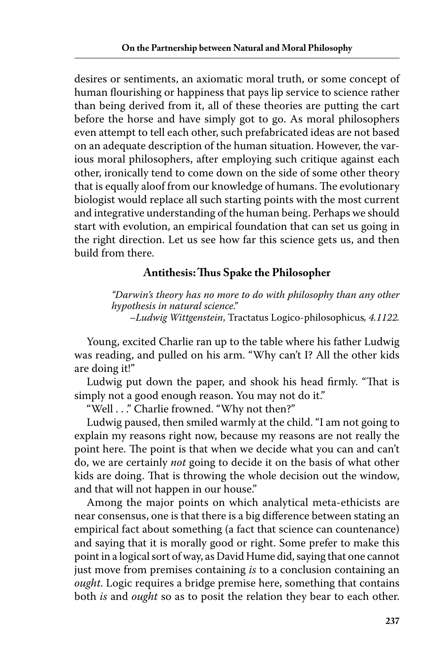desires or sentiments, an axiomatic moral truth, or some concept of human flourishing or happiness that pays lip service to science rather than being derived from it, all of these theories are putting the cart before the horse and have simply got to go. As moral philosophers even attempt to tell each other, such prefabricated ideas are not based on an adequate description of the human situation. However, the various moral philosophers, after employing such critique against each other, ironically tend to come down on the side of some other theory that is equally aloof from our knowledge of humans. The evolutionary biologist would replace all such starting points with the most current and integrative understanding of the human being. Perhaps we should start with evolution, an empirical foundation that can set us going in the right direction. Let us see how far this science gets us, and then build from there.

#### **Antithesis: Thus Spake the Philosopher**

*"Darwin's theory has no more to do with philosophy than any other hypothesis in natural science."*

*–Ludwig Wittgenstein* , Tractatus Logico-philosophicus *, 4.1122.*

 Young, excited Charlie ran up to the table where his father Ludwig was reading, and pulled on his arm. "Why can't I? All the other kids are doing it!"

Ludwig put down the paper, and shook his head firmly. "That is simply not a good enough reason. You may not do it."

"Well . . ." Charlie frowned. "Why not then?"

 Ludwig paused, then smiled warmly at the child. "I am not going to explain my reasons right now, because my reasons are not really the point here. The point is that when we decide what you can and can't do, we are certainly *not* going to decide it on the basis of what other kids are doing. That is throwing the whole decision out the window, and that will not happen in our house."

 Among the major points on which analytical meta-ethicists are near consensus, one is that there is a big difference between stating an empirical fact about something (a fact that science can countenance) and saying that it is morally good or right. Some prefer to make this point in a logical sort of way, as David Hume did, saying that one cannot just move from premises containing *is* to a conclusion containing an ought. Logic requires a bridge premise here, something that contains both *is* and *ought* so as to posit the relation they bear to each other.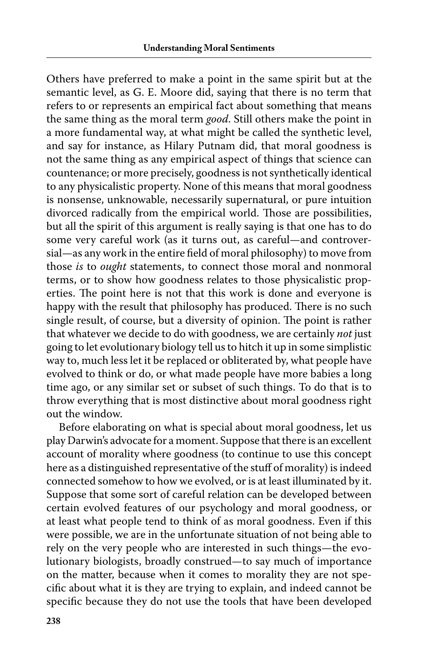Others have preferred to make a point in the same spirit but at the semantic level, as G. E. Moore did, saying that there is no term that refers to or represents an empirical fact about something that means the same thing as the moral term *good* . Still others make the point in a more fundamental way, at what might be called the synthetic level, and say for instance, as Hilary Putnam did, that moral goodness is not the same thing as any empirical aspect of things that science can countenance; or more precisely, goodness is not synthetically identical to any physicalistic property. None of this means that moral goodness is nonsense, unknowable, necessarily supernatural, or pure intuition divorced radically from the empirical world. Those are possibilities, but all the spirit of this argument is really saying is that one has to do some very careful work (as it turns out, as careful—and controversial—as any work in the entire field of moral philosophy) to move from those *is* to *ought* statements, to connect those moral and nonmoral terms, or to show how goodness relates to those physicalistic properties. The point here is not that this work is done and everyone is happy with the result that philosophy has produced. There is no such single result, of course, but a diversity of opinion. The point is rather that whatever we decide to do with goodness, we are certainly *not* just going to let evolutionary biology tell us to hitch it up in some simplistic way to, much less let it be replaced or obliterated by, what people have evolved to think or do, or what made people have more babies a long time ago, or any similar set or subset of such things. To do that is to throw everything that is most distinctive about moral goodness right out the window.

 Before elaborating on what is special about moral goodness, let us play Darwin's advocate for a moment. Suppose that there is an excellent account of morality where goodness (to continue to use this concept here as a distinguished representative of the stuff of morality) is indeed connected somehow to how we evolved, or is at least illuminated by it. Suppose that some sort of careful relation can be developed between certain evolved features of our psychology and moral goodness, or at least what people tend to think of as moral goodness. Even if this were possible, we are in the unfortunate situation of not being able to rely on the very people who are interested in such things—the evolutionary biologists, broadly construed—to say much of importance on the matter, because when it comes to morality they are not specific about what it is they are trying to explain, and indeed cannot be specific because they do not use the tools that have been developed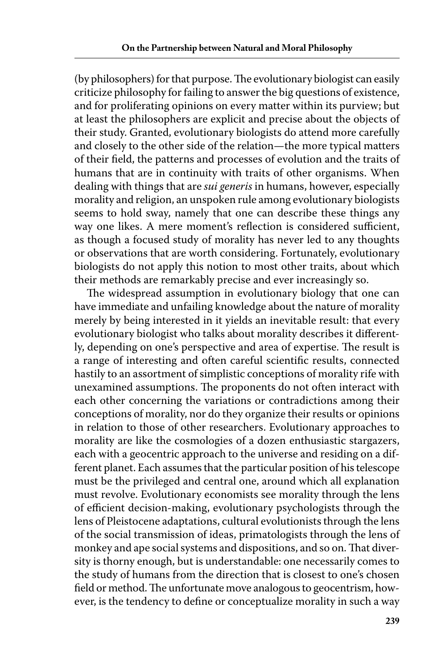(by philosophers) for that purpose. The evolutionary biologist can easily criticize philosophy for failing to answer the big questions of existence, and for proliferating opinions on every matter within its purview; but at least the philosophers are explicit and precise about the objects of their study. Granted, evolutionary biologists do attend more carefully and closely to the other side of the relation—the more typical matters of their field, the patterns and processes of evolution and the traits of humans that are in continuity with traits of other organisms. When dealing with things that are *sui generis* in humans, however, especially morality and religion, an unspoken rule among evolutionary biologists seems to hold sway, namely that one can describe these things any way one likes. A mere moment's reflection is considered sufficient, as though a focused study of morality has never led to any thoughts or observations that are worth considering. Fortunately, evolutionary biologists do not apply this notion to most other traits, about which their methods are remarkably precise and ever increasingly so.

The widespread assumption in evolutionary biology that one can have immediate and unfailing knowledge about the nature of morality merely by being interested in it yields an inevitable result: that every evolutionary biologist who talks about morality describes it differently, depending on one's perspective and area of expertise. The result is a range of interesting and often careful scientific results, connected hastily to an assortment of simplistic conceptions of morality rife with unexamined assumptions. The proponents do not often interact with each other concerning the variations or contradictions among their conceptions of morality, nor do they organize their results or opinions in relation to those of other researchers. Evolutionary approaches to morality are like the cosmologies of a dozen enthusiastic stargazers, each with a geocentric approach to the universe and residing on a different planet. Each assumes that the particular position of his telescope must be the privileged and central one, around which all explanation must revolve. Evolutionary economists see morality through the lens of efficient decision-making, evolutionary psychologists through the lens of Pleistocene adaptations, cultural evolutionists through the lens of the social transmission of ideas, primatologists through the lens of monkey and ape social systems and dispositions, and so on. That diversity is thorny enough, but is understandable: one necessarily comes to the study of humans from the direction that is closest to one's chosen field or method. The unfortunate move analogous to geocentrism, however, is the tendency to define or conceptualize morality in such a way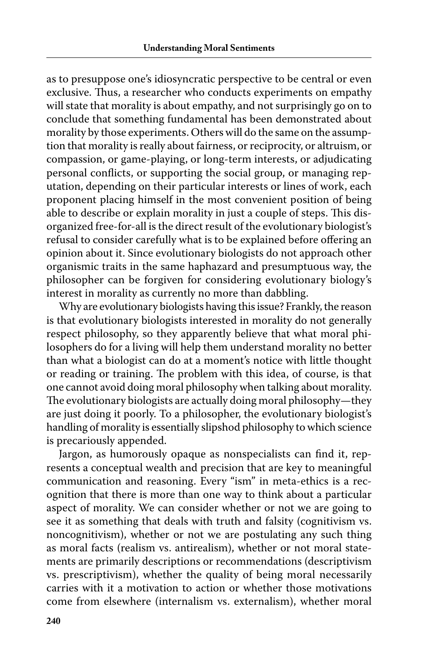as to presuppose one's idiosyncratic perspective to be central or even exclusive. Thus, a researcher who conducts experiments on empathy will state that morality is about empathy, and not surprisingly go on to conclude that something fundamental has been demonstrated about morality by those experiments. Others will do the same on the assumption that morality is really about fairness, or reciprocity, or altruism, or compassion, or game-playing, or long-term interests, or adjudicating personal conflicts, or supporting the social group, or managing reputation, depending on their particular interests or lines of work, each proponent placing himself in the most convenient position of being able to describe or explain morality in just a couple of steps. This disorganized free-for-all is the direct result of the evolutionary biologist's refusal to consider carefully what is to be explained before offering an opinion about it. Since evolutionary biologists do not approach other organismic traits in the same haphazard and presumptuous way, the philosopher can be forgiven for considering evolutionary biology's interest in morality as currently no more than dabbling.

 Why are evolutionary biologists having this issue? Frankly, the reason is that evolutionary biologists interested in morality do not generally respect philosophy, so they apparently believe that what moral philosophers do for a living will help them understand morality no better than what a biologist can do at a moment's notice with little thought or reading or training. The problem with this idea, of course, is that one cannot avoid doing moral philosophy when talking about morality. The evolutionary biologists are actually doing moral philosophy-they are just doing it poorly. To a philosopher, the evolutionary biologist's handling of morality is essentially slipshod philosophy to which science is precariously appended.

Jargon, as humorously opaque as nonspecialists can find it, represents a conceptual wealth and precision that are key to meaningful communication and reasoning. Every "ism" in meta-ethics is a recognition that there is more than one way to think about a particular aspect of morality. We can consider whether or not we are going to see it as something that deals with truth and falsity (cognitivism vs. noncognitivism), whether or not we are postulating any such thing as moral facts (realism vs. antirealism), whether or not moral statements are primarily descriptions or recommendations (descriptivism vs. prescriptivism), whether the quality of being moral necessarily carries with it a motivation to action or whether those motivations come from elsewhere (internalism vs. externalism), whether moral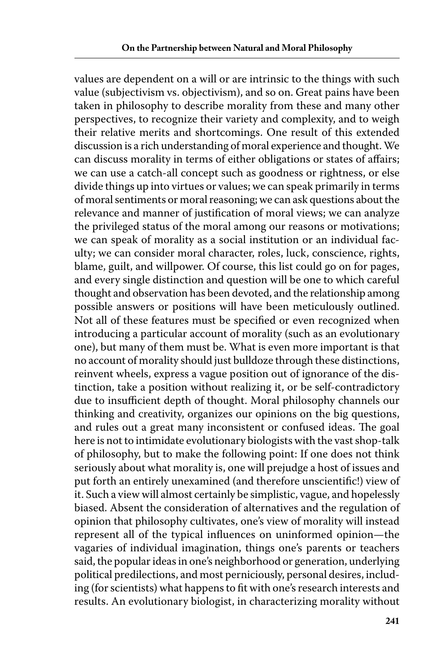values are dependent on a will or are intrinsic to the things with such value (subjectivism vs. objectivism), and so on. Great pains have been taken in philosophy to describe morality from these and many other perspectives, to recognize their variety and complexity, and to weigh their relative merits and shortcomings. One result of this extended discussion is a rich understanding of moral experience and thought. We can discuss morality in terms of either obligations or states of affairs; we can use a catch-all concept such as goodness or rightness, or else divide things up into virtues or values; we can speak primarily in terms of moral sentiments or moral reasoning; we can ask questions about the relevance and manner of justification of moral views; we can analyze the privileged status of the moral among our reasons or motivations; we can speak of morality as a social institution or an individual faculty; we can consider moral character, roles, luck, conscience, rights, blame, guilt, and willpower. Of course, this list could go on for pages, and every single distinction and question will be one to which careful thought and observation has been devoted, and the relationship among possible answers or positions will have been meticulously outlined. Not all of these features must be specified or even recognized when introducing a particular account of morality (such as an evolutionary one), but many of them must be. What is even more important is that no account of morality should just bulldoze through these distinctions, reinvent wheels, express a vague position out of ignorance of the distinction, take a position without realizing it, or be self-contradictory due to insufficient depth of thought. Moral philosophy channels our thinking and creativity, organizes our opinions on the big questions, and rules out a great many inconsistent or confused ideas. The goal here is not to intimidate evolutionary biologists with the vast shop-talk of philosophy, but to make the following point: If one does not think seriously about what morality is, one will prejudge a host of issues and put forth an entirely unexamined (and therefore unscientific!) view of it. Such a view will almost certainly be simplistic, vague, and hopelessly biased. Absent the consideration of alternatives and the regulation of opinion that philosophy cultivates, one's view of morality will instead represent all of the typical influences on uninformed opinion—the vagaries of individual imagination, things one's parents or teachers said, the popular ideas in one's neighborhood or generation, underlying political predilections, and most perniciously, personal desires, including (for scientists) what happens to fit with one's research interests and results. An evolutionary biologist, in characterizing morality without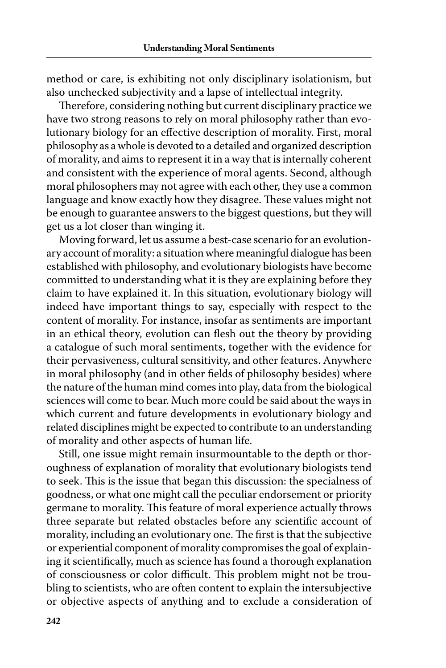method or care, is exhibiting not only disciplinary isolationism, but also unchecked subjectivity and a lapse of intellectual integrity.

Therefore, considering nothing but current disciplinary practice we have two strong reasons to rely on moral philosophy rather than evolutionary biology for an effective description of morality. First, moral philosophy as a whole is devoted to a detailed and organized description of morality, and aims to represent it in a way that is internally coherent and consistent with the experience of moral agents. Second, although moral philosophers may not agree with each other, they use a common language and know exactly how they disagree. These values might not be enough to guarantee answers to the biggest questions, but they will get us a lot closer than winging it.

 Moving forward, let us assume a best-case scenario for an evolutionary account of morality: a situation where meaningful dialogue has been established with philosophy, and evolutionary biologists have become committed to understanding what it is they are explaining before they claim to have explained it. In this situation, evolutionary biology will indeed have important things to say, especially with respect to the content of morality. For instance, insofar as sentiments are important in an ethical theory, evolution can flesh out the theory by providing a catalogue of such moral sentiments, together with the evidence for their pervasiveness, cultural sensitivity, and other features. Anywhere in moral philosophy (and in other fields of philosophy besides) where the nature of the human mind comes into play, data from the biological sciences will come to bear. Much more could be said about the ways in which current and future developments in evolutionary biology and related disciplines might be expected to contribute to an understanding of morality and other aspects of human life.

 Still, one issue might remain insurmountable to the depth or thoroughness of explanation of morality that evolutionary biologists tend to seek. This is the issue that began this discussion: the specialness of goodness, or what one might call the peculiar endorsement or priority germane to morality. This feature of moral experience actually throws three separate but related obstacles before any scientific account of morality, including an evolutionary one. The first is that the subjective or experiential component of morality compromises the goal of explaining it scientifically, much as science has found a thorough explanation of consciousness or color difficult. This problem might not be troubling to scientists, who are often content to explain the intersubjective or objective aspects of anything and to exclude a consideration of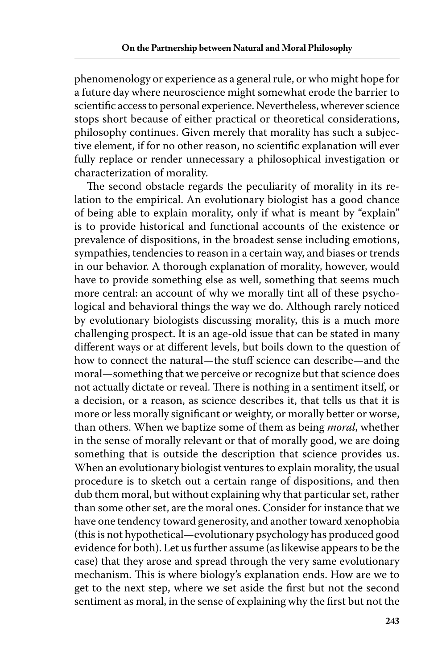phenomenology or experience as a general rule, or who might hope for a future day where neuroscience might somewhat erode the barrier to scientific access to personal experience. Nevertheless, wherever science stops short because of either practical or theoretical considerations, philosophy continues. Given merely that morality has such a subjective element, if for no other reason, no scientific explanation will ever fully replace or render unnecessary a philosophical investigation or characterization of morality.

The second obstacle regards the peculiarity of morality in its relation to the empirical. An evolutionary biologist has a good chance of being able to explain morality, only if what is meant by "explain" is to provide historical and functional accounts of the existence or prevalence of dispositions, in the broadest sense including emotions, sympathies, tendencies to reason in a certain way, and biases or trends in our behavior. A thorough explanation of morality, however, would have to provide something else as well, something that seems much more central: an account of why we morally tint all of these psychological and behavioral things the way we do. Although rarely noticed by evolutionary biologists discussing morality, this is a much more challenging prospect. It is an age-old issue that can be stated in many different ways or at different levels, but boils down to the question of how to connect the natural—the stuff science can describe—and the moral—something that we perceive or recognize but that science does not actually dictate or reveal. There is nothing in a sentiment itself, or a decision, or a reason, as science describes it, that tells us that it is more or less morally significant or weighty, or morally better or worse, than others. When we baptize some of them as being *moral*, whether in the sense of morally relevant or that of morally good, we are doing something that is outside the description that science provides us. When an evolutionary biologist ventures to explain morality, the usual procedure is to sketch out a certain range of dispositions, and then dub them moral, but without explaining why that particular set, rather than some other set, are the moral ones. Consider for instance that we have one tendency toward generosity, and another toward xenophobia (this is not hypothetical—evolutionary psychology has produced good evidence for both). Let us further assume (as likewise appears to be the case) that they arose and spread through the very same evolutionary mechanism. This is where biology's explanation ends. How are we to get to the next step, where we set aside the first but not the second sentiment as moral, in the sense of explaining why the first but not the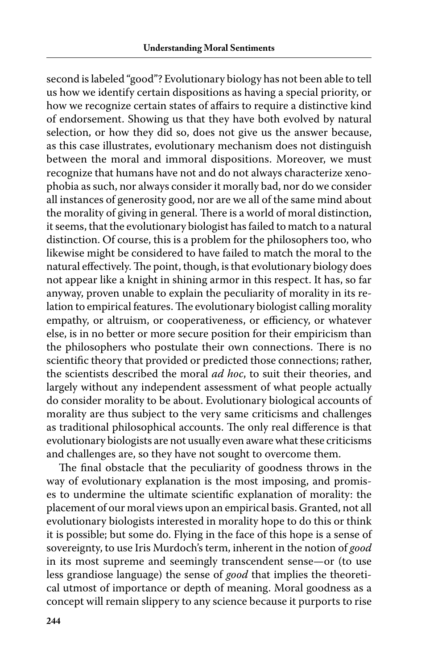second is labeled "good"? Evolutionary biology has not been able to tell us how we identify certain dispositions as having a special priority, or how we recognize certain states of affairs to require a distinctive kind of endorsement. Showing us that they have both evolved by natural selection, or how they did so, does not give us the answer because, as this case illustrates, evolutionary mechanism does not distinguish between the moral and immoral dispositions. Moreover, we must recognize that humans have not and do not always characterize xenophobia as such, nor always consider it morally bad, nor do we consider all instances of generosity good, nor are we all of the same mind about the morality of giving in general. There is a world of moral distinction, it seems, that the evolutionary biologist has failed to match to a natural distinction. Of course, this is a problem for the philosophers too, who likewise might be considered to have failed to match the moral to the natural effectively. The point, though, is that evolutionary biology does not appear like a knight in shining armor in this respect. It has, so far anyway, proven unable to explain the peculiarity of morality in its relation to empirical features. The evolutionary biologist calling morality empathy, or altruism, or cooperativeness, or efficiency, or whatever else, is in no better or more secure position for their empiricism than the philosophers who postulate their own connections. There is no scientific theory that provided or predicted those connections; rather, the scientists described the moral *ad hoc*, to suit their theories, and largely without any independent assessment of what people actually do consider morality to be about. Evolutionary biological accounts of morality are thus subject to the very same criticisms and challenges as traditional philosophical accounts. The only real difference is that evolutionary biologists are not usually even aware what these criticisms and challenges are, so they have not sought to overcome them.

The final obstacle that the peculiarity of goodness throws in the way of evolutionary explanation is the most imposing, and promises to undermine the ultimate scientific explanation of morality: the placement of our moral views upon an empirical basis. Granted, not all evolutionary biologists interested in morality hope to do this or think it is possible; but some do. Flying in the face of this hope is a sense of sovereignty, to use Iris Murdoch's term, inherent in the notion of *good* in its most supreme and seemingly transcendent sense—or (to use less grandiose language) the sense of *good* that implies the theoretical utmost of importance or depth of meaning. Moral goodness as a concept will remain slippery to any science because it purports to rise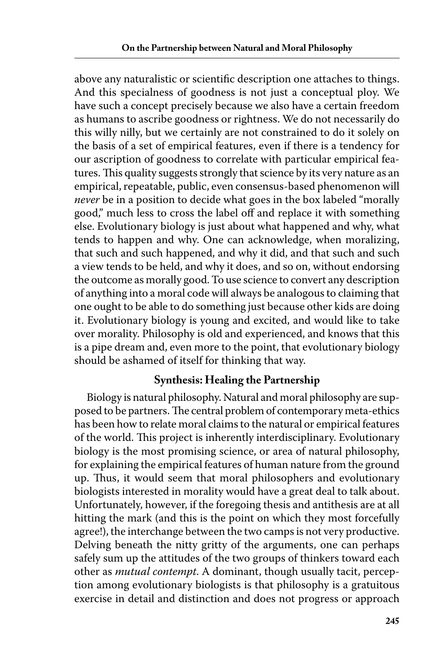above any naturalistic or scientific description one attaches to things. And this specialness of goodness is not just a conceptual ploy. We have such a concept precisely because we also have a certain freedom as humans to ascribe goodness or rightness. We do not necessarily do this willy nilly, but we certainly are not constrained to do it solely on the basis of a set of empirical features, even if there is a tendency for our ascription of goodness to correlate with particular empirical features. This quality suggests strongly that science by its very nature as an empirical, repeatable, public, even consensus-based phenomenon will *never* be in a position to decide what goes in the box labeled "morally good," much less to cross the label off and replace it with something else. Evolutionary biology is just about what happened and why, what tends to happen and why. One can acknowledge, when moralizing, that such and such happened, and why it did, and that such and such a view tends to be held, and why it does, and so on, without endorsing the outcome as morally good. To use science to convert any description of anything into a moral code will always be analogous to claiming that one ought to be able to do something just because other kids are doing it. Evolutionary biology is young and excited, and would like to take over morality. Philosophy is old and experienced, and knows that this is a pipe dream and, even more to the point, that evolutionary biology should be ashamed of itself for thinking that way.

#### **Synthesis: Healing the Partnership**

 Biology is natural philosophy. Natural and moral philosophy are supposed to be partners. The central problem of contemporary meta-ethics has been how to relate moral claims to the natural or empirical features of the world. This project is inherently interdisciplinary. Evolutionary biology is the most promising science, or area of natural philosophy, for explaining the empirical features of human nature from the ground up. Thus, it would seem that moral philosophers and evolutionary biologists interested in morality would have a great deal to talk about. Unfortunately, however, if the foregoing thesis and antithesis are at all hitting the mark (and this is the point on which they most forcefully agree!), the interchange between the two camps is not very productive. Delving beneath the nitty gritty of the arguments, one can perhaps safely sum up the attitudes of the two groups of thinkers toward each other as *mutual contempt* . A dominant, though usually tacit, perception among evolutionary biologists is that philosophy is a gratuitous exercise in detail and distinction and does not progress or approach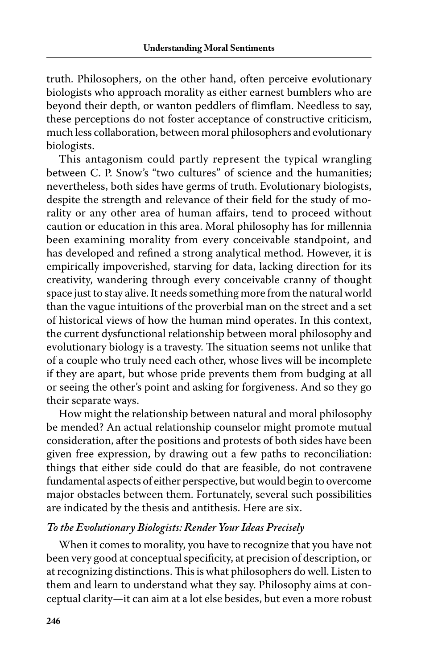truth. Philosophers, on the other hand, often perceive evolutionary biologists who approach morality as either earnest bumblers who are beyond their depth, or wanton peddlers of flimflam. Needless to say, these perceptions do not foster acceptance of constructive criticism, much less collaboration, between moral philosophers and evolutionary biologists.

 This antagonism could partly represent the typical wrangling between C. P. Snow's "two cultures" of science and the humanities; nevertheless, both sides have germs of truth. Evolutionary biologists, despite the strength and relevance of their field for the study of morality or any other area of human affairs, tend to proceed without caution or education in this area. Moral philosophy has for millennia been examining morality from every conceivable standpoint, and has developed and refined a strong analytical method. However, it is empirically impoverished, starving for data, lacking direction for its creativity, wandering through every conceivable cranny of thought space just to stay alive. It needs something more from the natural world than the vague intuitions of the proverbial man on the street and a set of historical views of how the human mind operates. In this context, the current dysfunctional relationship between moral philosophy and evolutionary biology is a travesty. The situation seems not unlike that of a couple who truly need each other, whose lives will be incomplete if they are apart, but whose pride prevents them from budging at all or seeing the other's point and asking for forgiveness. And so they go their separate ways.

 How might the relationship between natural and moral philosophy be mended? An actual relationship counselor might promote mutual consideration, after the positions and protests of both sides have been given free expression, by drawing out a few paths to reconciliation: things that either side could do that are feasible, do not contravene fundamental aspects of either perspective, but would begin to overcome major obstacles between them. Fortunately, several such possibilities are indicated by the thesis and antithesis. Here are six.

#### *To the Evolutionary Biologists: Render Your Ideas Precisely*

 When it comes to morality, you have to recognize that you have not been very good at conceptual specificity, at precision of description, or at recognizing distinctions. This is what philosophers do well. Listen to them and learn to understand what they say. Philosophy aims at conceptual clarity—it can aim at a lot else besides, but even a more robust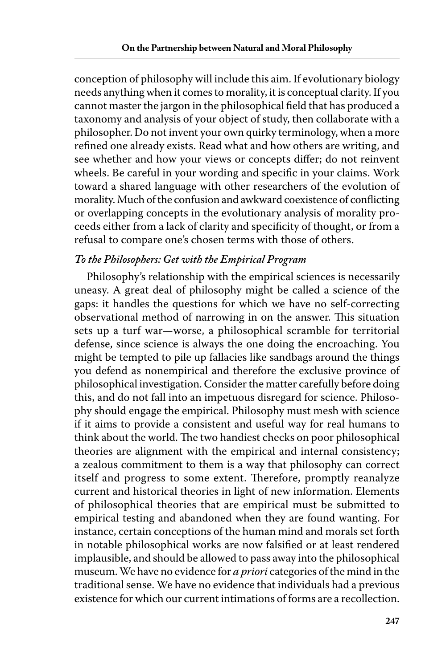conception of philosophy will include this aim. If evolutionary biology needs anything when it comes to morality, it is conceptual clarity. If you cannot master the jargon in the philosophical field that has produced a taxonomy and analysis of your object of study, then collaborate with a philosopher. Do not invent your own quirky terminology, when a more refined one already exists. Read what and how others are writing, and see whether and how your views or concepts differ; do not reinvent wheels. Be careful in your wording and specific in your claims. Work toward a shared language with other researchers of the evolution of morality. Much of the confusion and awkward coexistence of conflicting or overlapping concepts in the evolutionary analysis of morality proceeds either from a lack of clarity and specificity of thought, or from a refusal to compare one's chosen terms with those of others.

#### *To the Philosophers: Get with the Empirical Program*

 Philosophy's relationship with the empirical sciences is necessarily uneasy. A great deal of philosophy might be called a science of the gaps: it handles the questions for which we have no self-correcting observational method of narrowing in on the answer. This situation sets up a turf war—worse, a philosophical scramble for territorial defense, since science is always the one doing the encroaching. You might be tempted to pile up fallacies like sandbags around the things you defend as nonempirical and therefore the exclusive province of philosophical investigation. Consider the matter carefully before doing this, and do not fall into an impetuous disregard for science. Philosophy should engage the empirical. Philosophy must mesh with science if it aims to provide a consistent and useful way for real humans to think about the world. The two handiest checks on poor philosophical theories are alignment with the empirical and internal consistency; a zealous commitment to them is a way that philosophy can correct itself and progress to some extent. Therefore, promptly reanalyze current and historical theories in light of new information. Elements of philosophical theories that are empirical must be submitted to empirical testing and abandoned when they are found wanting. For instance, certain conceptions of the human mind and morals set forth in notable philosophical works are now falsified or at least rendered implausible, and should be allowed to pass away into the philosophical museum. We have no evidence for *a priori* categories of the mind in the traditional sense. We have no evidence that individuals had a previous existence for which our current intimations of forms are a recollection.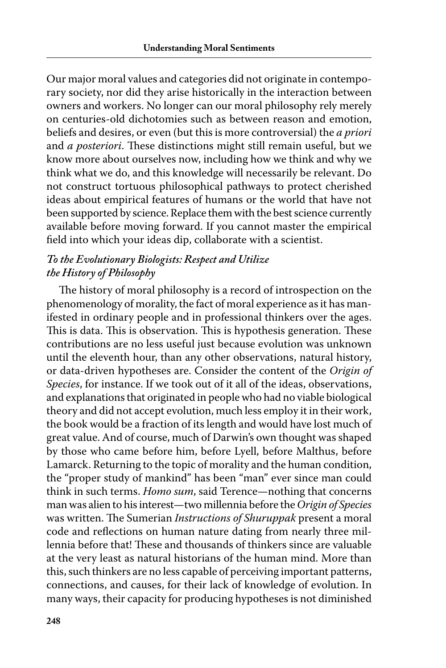Our major moral values and categories did not originate in contemporary society, nor did they arise historically in the interaction between owners and workers. No longer can our moral philosophy rely merely on centuries-old dichotomies such as between reason and emotion, beliefs and desires, or even (but this is more controversial) the *a priori* and *a posteriori*. These distinctions might still remain useful, but we know more about ourselves now, including how we think and why we think what we do, and this knowledge will necessarily be relevant. Do not construct tortuous philosophical pathways to protect cherished ideas about empirical features of humans or the world that have not been supported by science. Replace them with the best science currently available before moving forward. If you cannot master the empirical field into which your ideas dip, collaborate with a scientist.

#### *To the Evolutionary Biologists: Respect and Utilize the History of Philosophy*

The history of moral philosophy is a record of introspection on the phenomenology of morality, the fact of moral experience as it has manifested in ordinary people and in professional thinkers over the ages. This is data. This is observation. This is hypothesis generation. These contributions are no less useful just because evolution was unknown until the eleventh hour, than any other observations, natural history, or data-driven hypotheses are. Consider the content of the *Origin of Species* , for instance. If we took out of it all of the ideas, observations, and explanations that originated in people who had no viable biological theory and did not accept evolution, much less employ it in their work, the book would be a fraction of its length and would have lost much of great value. And of course, much of Darwin's own thought was shaped by those who came before him, before Lyell, before Malthus, before Lamarck. Returning to the topic of morality and the human condition, the "proper study of mankind" has been "man" ever since man could think in such terms. *Homo sum*, said Terence—nothing that concerns man was alien to his interest—two millennia before the *Origin of Species* was written. The Sumerian *Instructions of Shuruppak* present a moral code and reflections on human nature dating from nearly three millennia before that! These and thousands of thinkers since are valuable at the very least as natural historians of the human mind. More than this, such thinkers are no less capable of perceiving important patterns, connections, and causes, for their lack of knowledge of evolution. In many ways, their capacity for producing hypotheses is not diminished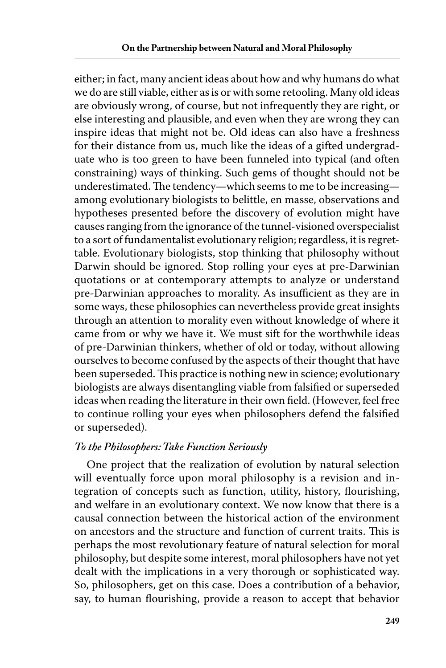either; in fact, many ancient ideas about how and why humans do what we do are still viable, either as is or with some retooling. Many old ideas are obviously wrong, of course, but not infrequently they are right, or else interesting and plausible, and even when they are wrong they can inspire ideas that might not be. Old ideas can also have a freshness for their distance from us, much like the ideas of a gifted undergraduate who is too green to have been funneled into typical (and often constraining) ways of thinking. Such gems of thought should not be underestimated. The tendency—which seems to me to be increasing among evolutionary biologists to belittle, en masse, observations and hypotheses presented before the discovery of evolution might have causes ranging from the ignorance of the tunnel-visioned overspecialist to a sort of fundamentalist evolutionary religion; regardless, it is regrettable. Evolutionary biologists, stop thinking that philosophy without Darwin should be ignored. Stop rolling your eyes at pre-Darwinian quotations or at contemporary attempts to analyze or understand pre-Darwinian approaches to morality. As insufficient as they are in some ways, these philosophies can nevertheless provide great insights through an attention to morality even without knowledge of where it came from or why we have it. We must sift for the worthwhile ideas of pre-Darwinian thinkers, whether of old or today, without allowing ourselves to become confused by the aspects of their thought that have been superseded. This practice is nothing new in science; evolutionary biologists are always disentangling viable from falsified or superseded ideas when reading the literature in their own field. (However, feel free to continue rolling your eyes when philosophers defend the falsified or superseded).

#### *To the Philosophers: Take Function Seriously*

 One project that the realization of evolution by natural selection will eventually force upon moral philosophy is a revision and integration of concepts such as function, utility, history, flourishing, and welfare in an evolutionary context. We now know that there is a causal connection between the historical action of the environment on ancestors and the structure and function of current traits. This is perhaps the most revolutionary feature of natural selection for moral philosophy, but despite some interest, moral philosophers have not yet dealt with the implications in a very thorough or sophisticated way. So, philosophers, get on this case. Does a contribution of a behavior, say, to human flourishing, provide a reason to accept that behavior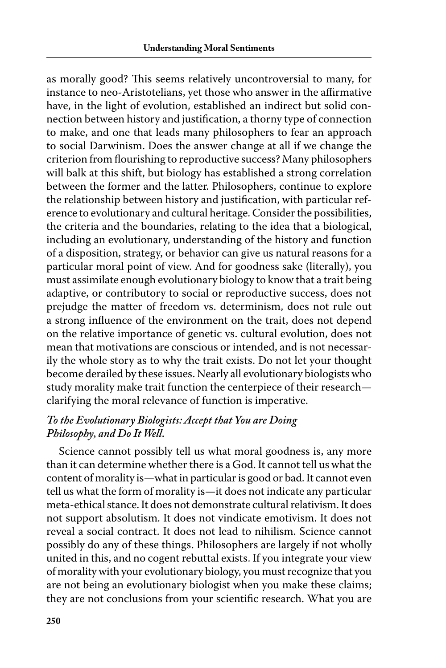as morally good? This seems relatively uncontroversial to many, for instance to neo-Aristotelians, yet those who answer in the affirmative have, in the light of evolution, established an indirect but solid connection between history and justification, a thorny type of connection to make, and one that leads many philosophers to fear an approach to social Darwinism. Does the answer change at all if we change the criterion from flourishing to reproductive success? Many philosophers will balk at this shift, but biology has established a strong correlation between the former and the latter. Philosophers, continue to explore the relationship between history and justification, with particular reference to evolutionary and cultural heritage. Consider the possibilities, the criteria and the boundaries, relating to the idea that a biological, including an evolutionary, understanding of the history and function of a disposition, strategy, or behavior can give us natural reasons for a particular moral point of view. And for goodness sake (literally), you must assimilate enough evolutionary biology to know that a trait being adaptive, or contributory to social or reproductive success, does not prejudge the matter of freedom vs. determinism, does not rule out a strong influence of the environment on the trait, does not depend on the relative importance of genetic vs. cultural evolution, does not mean that motivations are conscious or intended, and is not necessarily the whole story as to why the trait exists. Do not let your thought become derailed by these issues. Nearly all evolutionary biologists who study morality make trait function the centerpiece of their research clarifying the moral relevance of function is imperative.

#### *To the Evolutionary Biologists: Accept that You are Doing Philosophy, and Do It Well.*

 Science cannot possibly tell us what moral goodness is, any more than it can determine whether there is a God. It cannot tell us what the content of morality is—what in particular is good or bad. It cannot even tell us what the form of morality is—it does not indicate any particular meta-ethical stance. It does not demonstrate cultural relativism. It does not support absolutism. It does not vindicate emotivism. It does not reveal a social contract. It does not lead to nihilism. Science cannot possibly do any of these things. Philosophers are largely if not wholly united in this, and no cogent rebuttal exists. If you integrate your view of morality with your evolutionary biology, you must recognize that you are not being an evolutionary biologist when you make these claims; they are not conclusions from your scientific research. What you are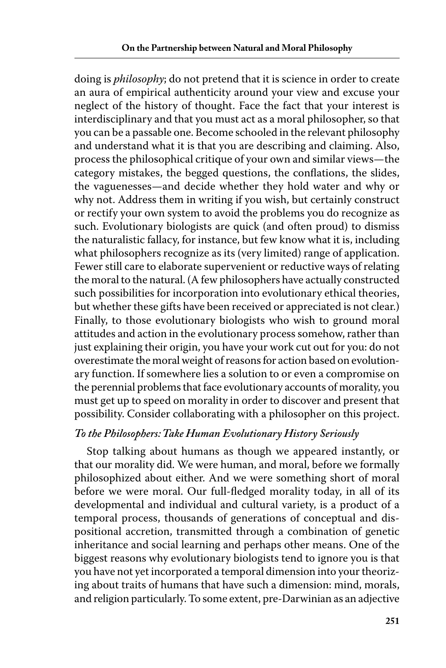doing is *philosophy* ; do not pretend that it is science in order to create an aura of empirical authenticity around your view and excuse your neglect of the history of thought. Face the fact that your interest is interdisciplinary and that you must act as a moral philosopher, so that you can be a passable one. Become schooled in the relevant philosophy and understand what it is that you are describing and claiming. Also, process the philosophical critique of your own and similar views—the category mistakes, the begged questions, the conflations, the slides, the vaguenesses—and decide whether they hold water and why or why not. Address them in writing if you wish, but certainly construct or rectify your own system to avoid the problems you do recognize as such. Evolutionary biologists are quick (and often proud) to dismiss the naturalistic fallacy, for instance, but few know what it is, including what philosophers recognize as its (very limited) range of application. Fewer still care to elaborate supervenient or reductive ways of relating the moral to the natural. (A few philosophers have actually constructed such possibilities for incorporation into evolutionary ethical theories, but whether these gifts have been received or appreciated is not clear.) Finally, to those evolutionary biologists who wish to ground moral attitudes and action in the evolutionary process somehow, rather than just explaining their origin, you have your work cut out for you: do not overestimate the moral weight of reasons for action based on evolutionary function. If somewhere lies a solution to or even a compromise on the perennial problems that face evolutionary accounts of morality, you must get up to speed on morality in order to discover and present that possibility. Consider collaborating with a philosopher on this project.

#### *To the Philosophers: Take Human Evolutionary History Seriously*

 Stop talking about humans as though we appeared instantly, or that our morality did. We were human, and moral, before we formally philosophized about either. And we were something short of moral before we were moral. Our full-fledged morality today, in all of its developmental and individual and cultural variety, is a product of a temporal process, thousands of generations of conceptual and dispositional accretion, transmitted through a combination of genetic inheritance and social learning and perhaps other means. One of the biggest reasons why evolutionary biologists tend to ignore you is that you have not yet incorporated a temporal dimension into your theorizing about traits of humans that have such a dimension: mind, morals, and religion particularly. To some extent, pre-Darwinian as an adjective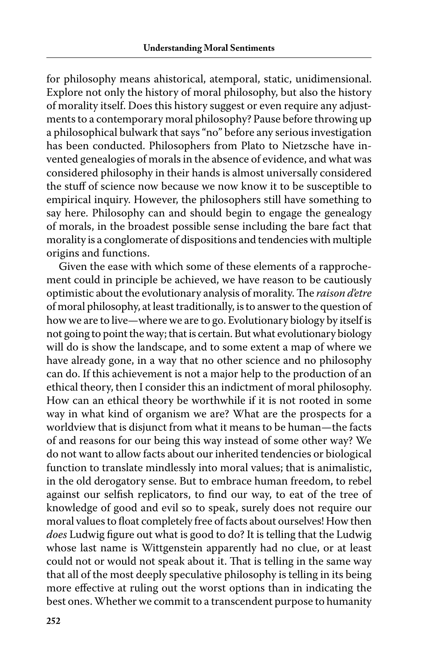for philosophy means ahistorical, atemporal, static, unidimensional. Explore not only the history of moral philosophy, but also the history of morality itself. Does this history suggest or even require any adjustments to a contemporary moral philosophy? Pause before throwing up a philosophical bulwark that says "no" before any serious investigation has been conducted. Philosophers from Plato to Nietzsche have invented genealogies of morals in the absence of evidence, and what was considered philosophy in their hands is almost universally considered the stuff of science now because we now know it to be susceptible to empirical inquiry. However, the philosophers still have something to say here. Philosophy can and should begin to engage the genealogy of morals, in the broadest possible sense including the bare fact that morality is a conglomerate of dispositions and tendencies with multiple origins and functions.

 Given the ease with which some of these elements of a rapprochement could in principle be achieved, we have reason to be cautiously optimistic about the evolutionary analysis of morality. The *raison d'etre* of moral philosophy, at least traditionally, is to answer to the question of how we are to live—where we are to go. Evolutionary biology by itself is not going to point the way; that is certain. But what evolutionary biology will do is show the landscape, and to some extent a map of where we have already gone, in a way that no other science and no philosophy can do. If this achievement is not a major help to the production of an ethical theory, then I consider this an indictment of moral philosophy. How can an ethical theory be worthwhile if it is not rooted in some way in what kind of organism we are? What are the prospects for a worldview that is disjunct from what it means to be human—the facts of and reasons for our being this way instead of some other way? We do not want to allow facts about our inherited tendencies or biological function to translate mindlessly into moral values; that is animalistic, in the old derogatory sense. But to embrace human freedom, to rebel against our selfish replicators, to find our way, to eat of the tree of knowledge of good and evil so to speak, surely does not require our moral values to float completely free of facts about ourselves! How then does Ludwig figure out what is good to do? It is telling that the Ludwig whose last name is Wittgenstein apparently had no clue, or at least could not or would not speak about it. That is telling in the same way that all of the most deeply speculative philosophy is telling in its being more effective at ruling out the worst options than in indicating the best ones. Whether we commit to a transcendent purpose to humanity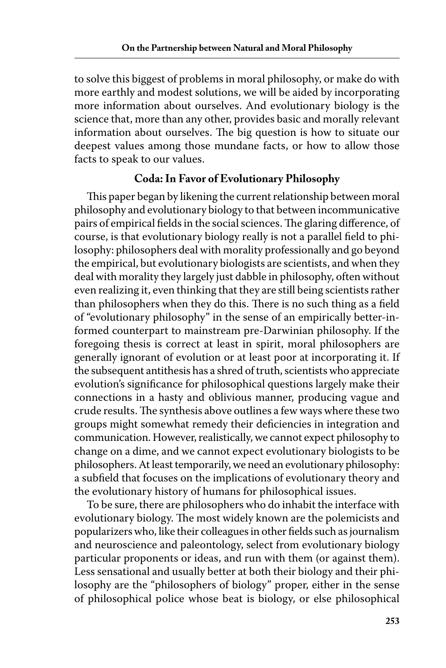to solve this biggest of problems in moral philosophy, or make do with more earthly and modest solutions, we will be aided by incorporating more information about ourselves. And evolutionary biology is the science that, more than any other, provides basic and morally relevant information about ourselves. The big question is how to situate our deepest values among those mundane facts, or how to allow those facts to speak to our values.

#### **Coda: In Favor of Evolutionary Philosophy**

This paper began by likening the current relationship between moral philosophy and evolutionary biology to that between incommunicative pairs of empirical fields in the social sciences. The glaring difference, of course, is that evolutionary biology really is not a parallel field to philosophy: philosophers deal with morality professionally and go beyond the empirical, but evolutionary biologists are scientists, and when they deal with morality they largely just dabble in philosophy, often without even realizing it, even thinking that they are still being scientists rather than philosophers when they do this. There is no such thing as a field of "evolutionary philosophy" in the sense of an empirically better-informed counterpart to mainstream pre-Darwinian philosophy. If the foregoing thesis is correct at least in spirit, moral philosophers are generally ignorant of evolution or at least poor at incorporating it. If the subsequent antithesis has a shred of truth, scientists who appreciate evolution's significance for philosophical questions largely make their connections in a hasty and oblivious manner, producing vague and crude results. The synthesis above outlines a few ways where these two groups might somewhat remedy their deficiencies in integration and communication. However, realistically, we cannot expect philosophy to change on a dime, and we cannot expect evolutionary biologists to be philosophers. At least temporarily, we need an evolutionary philosophy: a subfield that focuses on the implications of evolutionary theory and the evolutionary history of humans for philosophical issues.

 To be sure, there are philosophers who do inhabit the interface with evolutionary biology. The most widely known are the polemicists and popularizers who, like their colleagues in other fields such as journalism and neuroscience and paleontology, select from evolutionary biology particular proponents or ideas, and run with them (or against them). Less sensational and usually better at both their biology and their philosophy are the "philosophers of biology" proper, either in the sense of philosophical police whose beat is biology, or else philosophical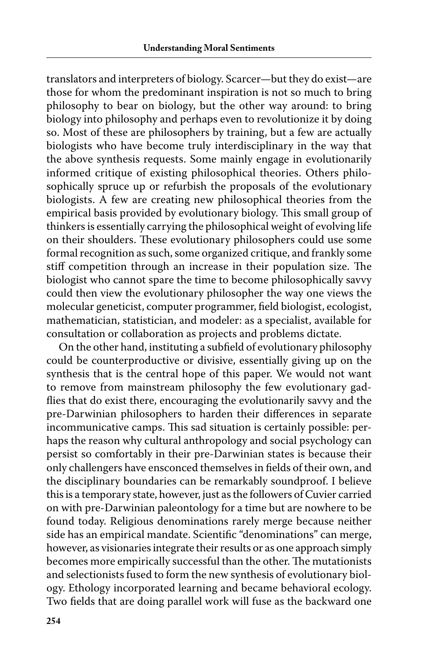translators and interpreters of biology. Scarcer—but they do exist—are those for whom the predominant inspiration is not so much to bring philosophy to bear on biology, but the other way around: to bring biology into philosophy and perhaps even to revolutionize it by doing so. Most of these are philosophers by training, but a few are actually biologists who have become truly interdisciplinary in the way that the above synthesis requests. Some mainly engage in evolutionarily informed critique of existing philosophical theories. Others philosophically spruce up or refurbish the proposals of the evolutionary biologists. A few are creating new philosophical theories from the empirical basis provided by evolutionary biology. This small group of thinkers is essentially carrying the philosophical weight of evolving life on their shoulders. These evolutionary philosophers could use some formal recognition as such, some organized critique, and frankly some stiff competition through an increase in their population size. The biologist who cannot spare the time to become philosophically savvy could then view the evolutionary philosopher the way one views the molecular geneticist, computer programmer, field biologist, ecologist, mathematician, statistician, and modeler: as a specialist, available for consultation or collaboration as projects and problems dictate.

On the other hand, instituting a subfield of evolutionary philosophy could be counterproductive or divisive, essentially giving up on the synthesis that is the central hope of this paper. We would not want to remove from mainstream philosophy the few evolutionary gadflies that do exist there, encouraging the evolutionarily savvy and the pre-Darwinian philosophers to harden their differences in separate incommunicative camps. This sad situation is certainly possible: perhaps the reason why cultural anthropology and social psychology can persist so comfortably in their pre-Darwinian states is because their only challengers have ensconced themselves in fields of their own, and the disciplinary boundaries can be remarkably soundproof. I believe this is a temporary state, however, just as the followers of Cuvier carried on with pre-Darwinian paleontology for a time but are nowhere to be found today. Religious denominations rarely merge because neither side has an empirical mandate. Scientific "denominations" can merge, however, as visionaries integrate their results or as one approach simply becomes more empirically successful than the other. The mutationists and selectionists fused to form the new synthesis of evolutionary biology. Ethology incorporated learning and became behavioral ecology. Two fields that are doing parallel work will fuse as the backward one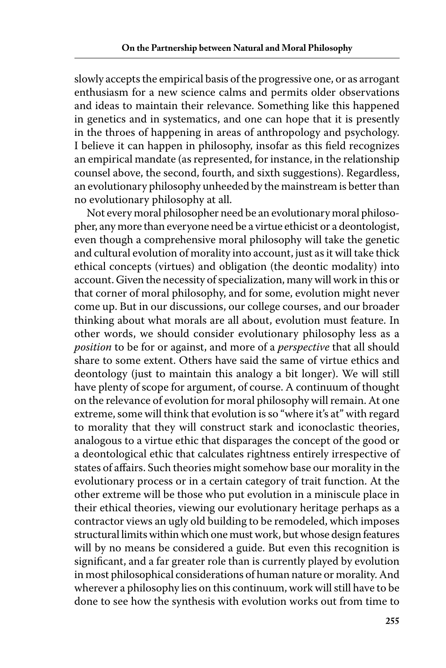slowly accepts the empirical basis of the progressive one, or as arrogant enthusiasm for a new science calms and permits older observations and ideas to maintain their relevance. Something like this happened in genetics and in systematics, and one can hope that it is presently in the throes of happening in areas of anthropology and psychology. I believe it can happen in philosophy, insofar as this field recognizes an empirical mandate (as represented, for instance, in the relationship counsel above, the second, fourth, and sixth suggestions). Regardless, an evolutionary philosophy unheeded by the mainstream is better than no evolutionary philosophy at all.

 Not every moral philosopher need be an evolutionary moral philosopher, any more than everyone need be a virtue ethicist or a deontologist, even though a comprehensive moral philosophy will take the genetic and cultural evolution of morality into account, just as it will take thick ethical concepts (virtues) and obligation (the deontic modality) into account. Given the necessity of specialization, many will work in this or that corner of moral philosophy, and for some, evolution might never come up. But in our discussions, our college courses, and our broader thinking about what morals are all about, evolution must feature. In other words, we should consider evolutionary philosophy less as a *position* to be for or against, and more of a *perspective* that all should share to some extent. Others have said the same of virtue ethics and deontology (just to maintain this analogy a bit longer). We will still have plenty of scope for argument, of course. A continuum of thought on the relevance of evolution for moral philosophy will remain. At one extreme, some will think that evolution is so "where it's at" with regard to morality that they will construct stark and iconoclastic theories, analogous to a virtue ethic that disparages the concept of the good or a deontological ethic that calculates rightness entirely irrespective of states of affairs. Such theories might somehow base our morality in the evolutionary process or in a certain category of trait function. At the other extreme will be those who put evolution in a miniscule place in their ethical theories, viewing our evolutionary heritage perhaps as a contractor views an ugly old building to be remodeled, which imposes structural limits within which one must work, but whose design features will by no means be considered a guide. But even this recognition is significant, and a far greater role than is currently played by evolution in most philosophical considerations of human nature or morality. And wherever a philosophy lies on this continuum, work will still have to be done to see how the synthesis with evolution works out from time to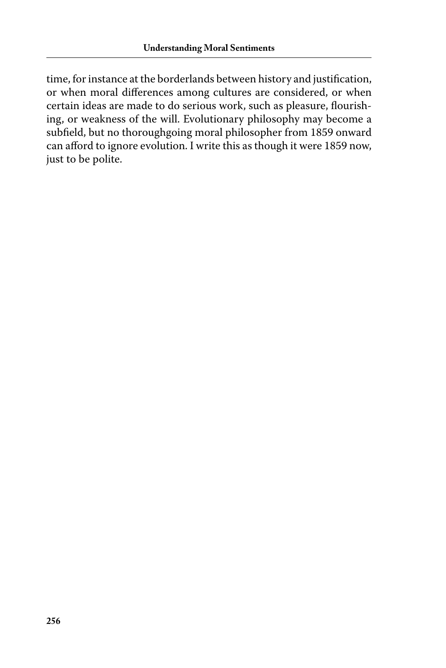time, for instance at the borderlands between history and justification, or when moral differences among cultures are considered, or when certain ideas are made to do serious work, such as pleasure, flourishing, or weakness of the will. Evolutionary philosophy may become a subfield, but no thoroughgoing moral philosopher from 1859 onward can afford to ignore evolution. I write this as though it were 1859 now, just to be polite.